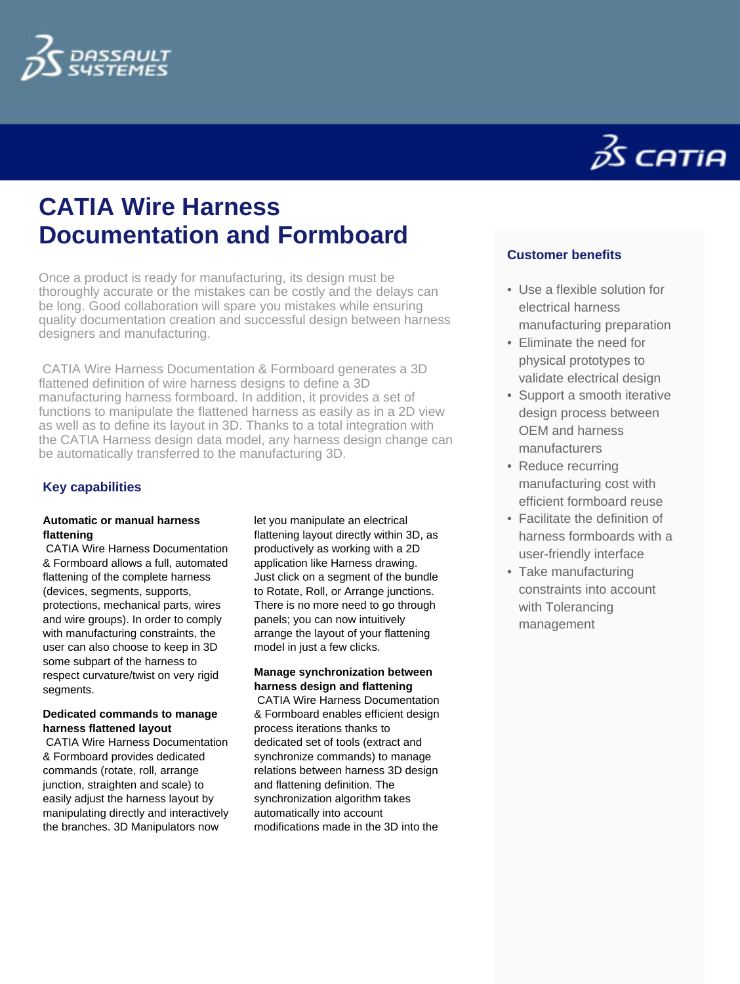



# **CATIA Wire Harness Documentation and Formboard**

Once a product is ready for manufacturing, its design must be thoroughly accurate or the mistakes can be costly and the delays can be long. Good collaboration will spare you mistakes while ensuring quality documentation creation and successful design between harness designers and manufacturing.

 CATIA Wire Harness Documentation & Formboard generates a 3D flattened definition of wire harness designs to define a 3D manufacturing harness formboard. In addition, it provides a set of functions to manipulate the flattened harness as easily as in a 2D view as well as to define its layout in 3D. Thanks to a total integration with the CATIA Harness design data model, any harness design change can be automatically transferred to the manufacturing 3D.

## **Key capabilities**

## **Automatic or manual harness flattening**

 CATIA Wire Harness Documentation & Formboard allows a full, automated flattening of the complete harness (devices, segments, supports, protections, mechanical parts, wires and wire groups). In order to comply with manufacturing constraints, the user can also choose to keep in 3D some subpart of the harness to respect curvature/twist on very rigid segments.

## **Dedicated commands to manage harness flattened layout**

 CATIA Wire Harness Documentation & Formboard provides dedicated commands (rotate, roll, arrange junction, straighten and scale) to easily adjust the harness layout by manipulating directly and interactively the branches. 3D Manipulators now

let you manipulate an electrical flattening layout directly within 3D, as productively as working with a 2D application like Harness drawing. Just click on a segment of the bundle to Rotate, Roll, or Arrange junctions. There is no more need to go through panels; you can now intuitively arrange the layout of your flattening model in just a few clicks.

## **Manage synchronization between harness design and flattening**

 CATIA Wire Harness Documentation & Formboard enables efficient design process iterations thanks to dedicated set of tools (extract and synchronize commands) to manage relations between harness 3D design and flattening definition. The synchronization algorithm takes automatically into account modifications made in the 3D into the

## **Customer benefits**

- Use a flexible solution for electrical harness manufacturing preparation
- Eliminate the need for physical prototypes to validate electrical design
- Support a smooth iterative design process between OEM and harness manufacturers
- Reduce recurring manufacturing cost with efficient formboard reuse
- Facilitate the definition of harness formboards with a user-friendly interface
- Take manufacturing constraints into account with Tolerancing management